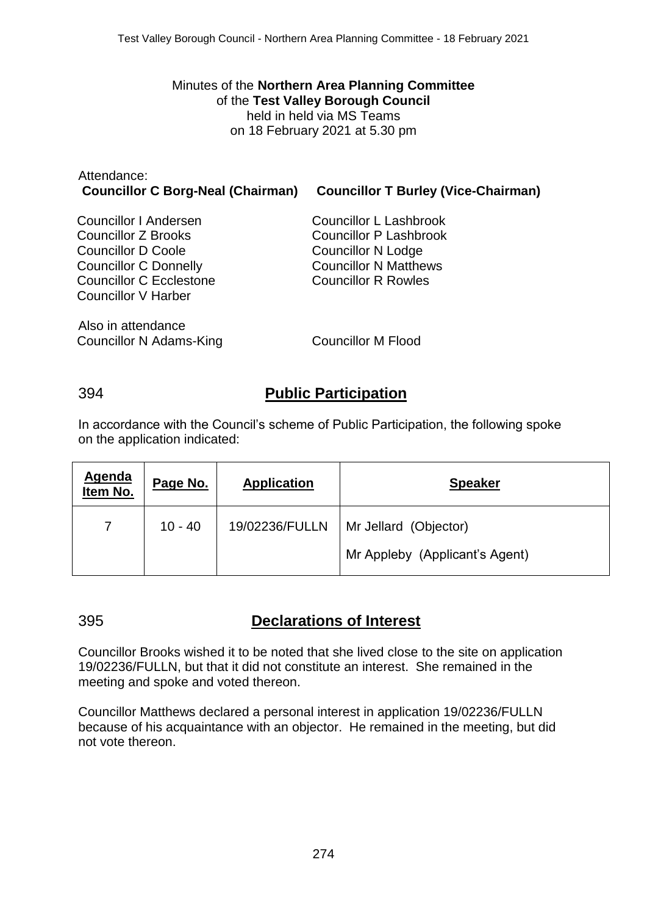Minutes of the **Northern Area Planning Committee** of the **Test Valley Borough Council** held in held via MS Teams on 18 February 2021 at 5.30 pm

| Attendance:<br><b>Councillor C Borg-Neal (Chairman)</b> | <b>Councillor T Burley (Vice-Chairman)</b> |
|---------------------------------------------------------|--------------------------------------------|
| Councillor I Andersen                                   | Councillor L Lashbrook                     |
| Councillor Z Brooks                                     | Councillor P Lashbrook                     |
| <b>Councillor D Coole</b>                               | <b>Councillor N Lodge</b>                  |
| <b>Councillor C Donnelly</b>                            | <b>Councillor N Matthews</b>               |
| <b>Councillor C Ecclestone</b>                          | <b>Councillor R Rowles</b>                 |
| Councillor V Harber                                     |                                            |
| Also in attendance                                      |                                            |

Councillor N Adams-King Councillor M Flood

# 394 **Public Participation**

In accordance with the Council's scheme of Public Participation, the following spoke on the application indicated:

| <b>Agenda</b><br>Item No. | Page No.  | <b>Application</b> | <b>Speaker</b>                 |
|---------------------------|-----------|--------------------|--------------------------------|
| $\mathbf{7}$              | $10 - 40$ | 19/02236/FULLN     | Mr Jellard (Objector)          |
|                           |           |                    | Mr Appleby (Applicant's Agent) |

# 395 **Declarations of Interest**

Councillor Brooks wished it to be noted that she lived close to the site on application 19/02236/FULLN, but that it did not constitute an interest. She remained in the meeting and spoke and voted thereon.

Councillor Matthews declared a personal interest in application 19/02236/FULLN because of his acquaintance with an objector. He remained in the meeting, but did not vote thereon.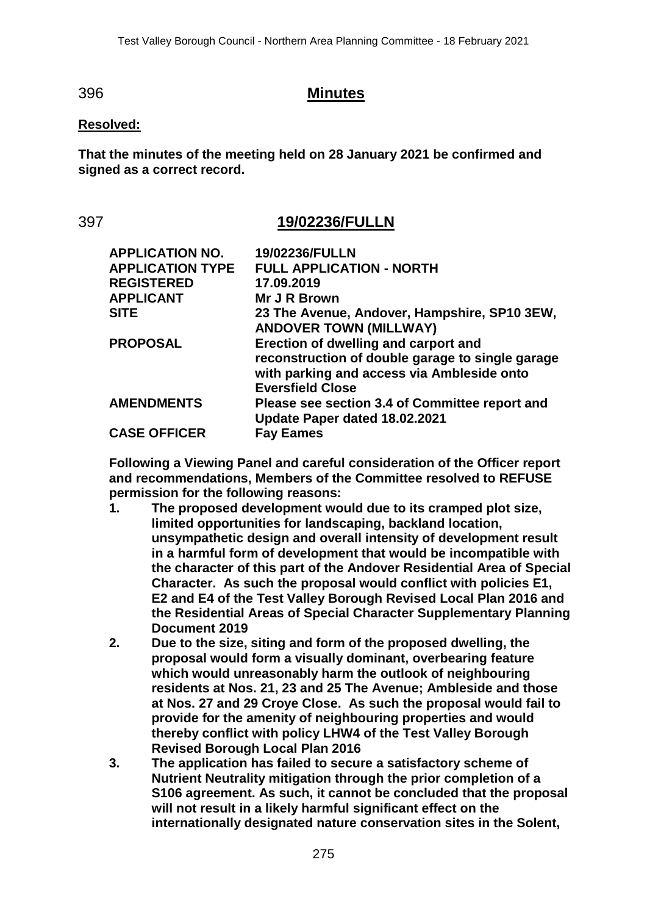## 396 **Minutes**

### **Resolved:**

**That the minutes of the meeting held on 28 January 2021 be confirmed and signed as a correct record.**

## 397 **19/02236/FULLN**

| <b>APPLICATION NO.</b>  | 19/02236/FULLN                                                                                                                                                    |
|-------------------------|-------------------------------------------------------------------------------------------------------------------------------------------------------------------|
| <b>APPLICATION TYPE</b> | <b>FULL APPLICATION - NORTH</b>                                                                                                                                   |
| <b>REGISTERED</b>       | 17.09.2019                                                                                                                                                        |
| <b>APPLICANT</b>        | Mr J R Brown                                                                                                                                                      |
| <b>SITE</b>             | 23 The Avenue, Andover, Hampshire, SP10 3EW,<br><b>ANDOVER TOWN (MILLWAY)</b>                                                                                     |
| <b>PROPOSAL</b>         | Erection of dwelling and carport and<br>reconstruction of double garage to single garage<br>with parking and access via Ambleside onto<br><b>Eversfield Close</b> |
| <b>AMENDMENTS</b>       | Please see section 3.4 of Committee report and<br>Update Paper dated 18.02.2021                                                                                   |
| <b>CASE OFFICER</b>     | <b>Fay Eames</b>                                                                                                                                                  |

**Following a Viewing Panel and careful consideration of the Officer report and recommendations, Members of the Committee resolved to REFUSE permission for the following reasons:**

- **1. The proposed development would due to its cramped plot size, limited opportunities for landscaping, backland location, unsympathetic design and overall intensity of development result in a harmful form of development that would be incompatible with the character of this part of the Andover Residential Area of Special Character. As such the proposal would conflict with policies E1, E2 and E4 of the Test Valley Borough Revised Local Plan 2016 and the Residential Areas of Special Character Supplementary Planning Document 2019**
- **2. Due to the size, siting and form of the proposed dwelling, the proposal would form a visually dominant, overbearing feature which would unreasonably harm the outlook of neighbouring residents at Nos. 21, 23 and 25 The Avenue; Ambleside and those at Nos. 27 and 29 Croye Close. As such the proposal would fail to provide for the amenity of neighbouring properties and would thereby conflict with policy LHW4 of the Test Valley Borough Revised Borough Local Plan 2016**
- **3. The application has failed to secure a satisfactory scheme of Nutrient Neutrality mitigation through the prior completion of a S106 agreement. As such, it cannot be concluded that the proposal will not result in a likely harmful significant effect on the internationally designated nature conservation sites in the Solent,**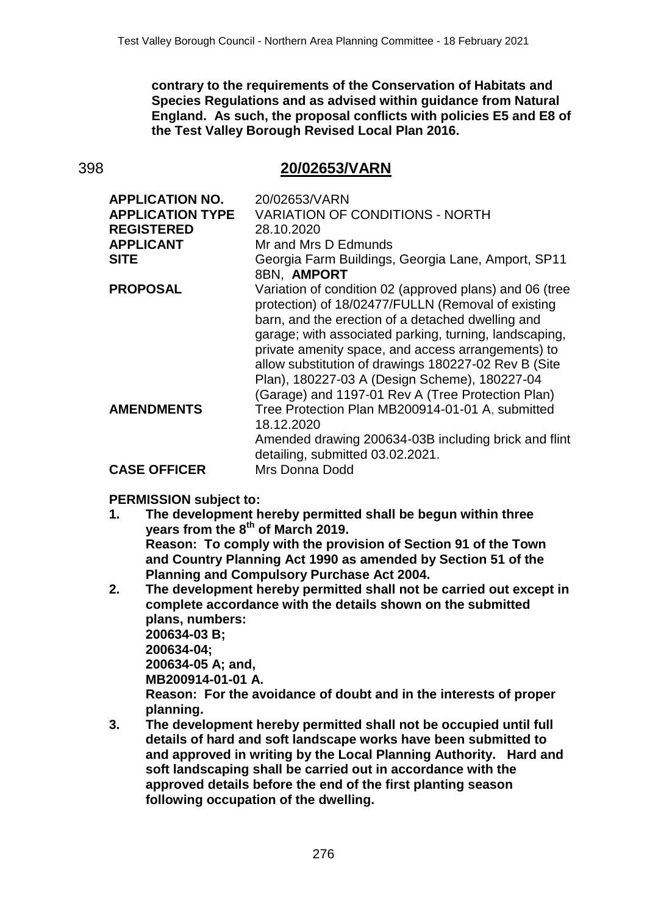**contrary to the requirements of the Conservation of Habitats and Species Regulations and as advised within guidance from Natural England. As such, the proposal conflicts with policies E5 and E8 of the Test Valley Borough Revised Local Plan 2016.**

# 398 **20/02653/VARN**

| <b>APPLICATION NO.</b>  | 20/02653/VARN                                                                                                                                                                                                                                                                                                                                                                                                                                    |
|-------------------------|--------------------------------------------------------------------------------------------------------------------------------------------------------------------------------------------------------------------------------------------------------------------------------------------------------------------------------------------------------------------------------------------------------------------------------------------------|
| <b>APPLICATION TYPE</b> | <b>VARIATION OF CONDITIONS - NORTH</b>                                                                                                                                                                                                                                                                                                                                                                                                           |
| <b>REGISTERED</b>       | 28.10.2020                                                                                                                                                                                                                                                                                                                                                                                                                                       |
| <b>APPLICANT</b>        | Mr and Mrs D Edmunds                                                                                                                                                                                                                                                                                                                                                                                                                             |
| <b>SITE</b>             | Georgia Farm Buildings, Georgia Lane, Amport, SP11<br>8BN, AMPORT                                                                                                                                                                                                                                                                                                                                                                                |
| <b>PROPOSAL</b>         | Variation of condition 02 (approved plans) and 06 (tree<br>protection) of 18/02477/FULLN (Removal of existing<br>barn, and the erection of a detached dwelling and<br>garage; with associated parking, turning, landscaping,<br>private amenity space, and access arrangements) to<br>allow substitution of drawings 180227-02 Rev B (Site<br>Plan), 180227-03 A (Design Scheme), 180227-04<br>(Garage) and 1197-01 Rev A (Tree Protection Plan) |
| <b>AMENDMENTS</b>       | Tree Protection Plan MB200914-01-01 A, submitted<br>18.12.2020<br>Amended drawing 200634-03B including brick and flint                                                                                                                                                                                                                                                                                                                           |
|                         | detailing, submitted 03.02.2021.                                                                                                                                                                                                                                                                                                                                                                                                                 |
| <b>CASE OFFICER</b>     | Mrs Donna Dodd                                                                                                                                                                                                                                                                                                                                                                                                                                   |

### **PERMISSION subject to:**

- **1. The development hereby permitted shall be begun within three years from the 8th of March 2019. Reason: To comply with the provision of Section 91 of the Town and Country Planning Act 1990 as amended by Section 51 of the Planning and Compulsory Purchase Act 2004.**
- **2. The development hereby permitted shall not be carried out except in complete accordance with the details shown on the submitted plans, numbers: 200634-03 B; 200634-04; 200634-05 A; and, MB200914-01-01 A. Reason: For the avoidance of doubt and in the interests of proper planning.**
- **3. The development hereby permitted shall not be occupied until full details of hard and soft landscape works have been submitted to and approved in writing by the Local Planning Authority. Hard and soft landscaping shall be carried out in accordance with the approved details before the end of the first planting season following occupation of the dwelling.**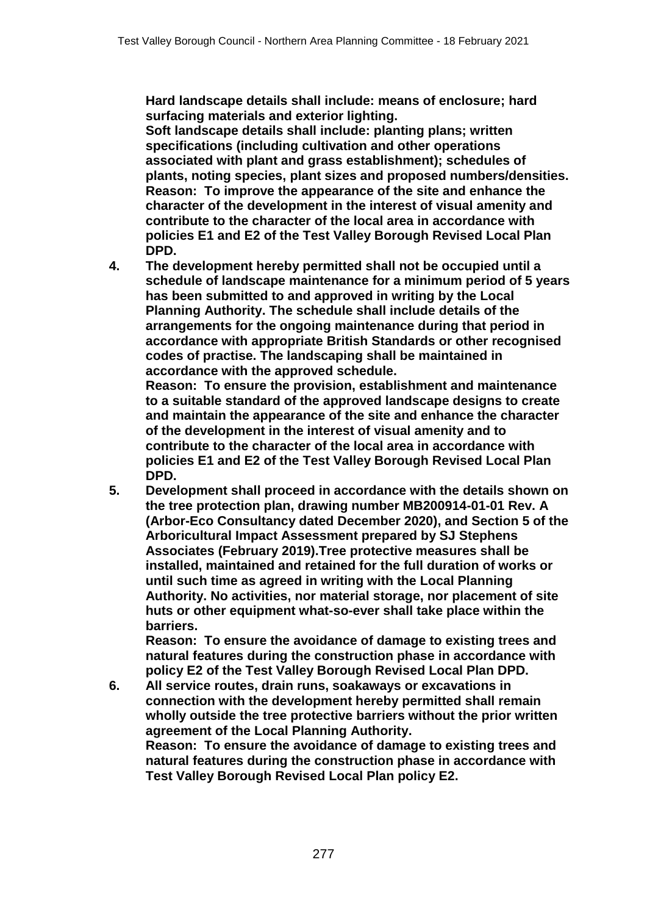**Hard landscape details shall include: means of enclosure; hard surfacing materials and exterior lighting.**

**Soft landscape details shall include: planting plans; written specifications (including cultivation and other operations associated with plant and grass establishment); schedules of plants, noting species, plant sizes and proposed numbers/densities. Reason: To improve the appearance of the site and enhance the character of the development in the interest of visual amenity and contribute to the character of the local area in accordance with policies E1 and E2 of the Test Valley Borough Revised Local Plan DPD.**

**4. The development hereby permitted shall not be occupied until a schedule of landscape maintenance for a minimum period of 5 years has been submitted to and approved in writing by the Local Planning Authority. The schedule shall include details of the arrangements for the ongoing maintenance during that period in accordance with appropriate British Standards or other recognised codes of practise. The landscaping shall be maintained in accordance with the approved schedule.**

**Reason: To ensure the provision, establishment and maintenance to a suitable standard of the approved landscape designs to create and maintain the appearance of the site and enhance the character of the development in the interest of visual amenity and to contribute to the character of the local area in accordance with policies E1 and E2 of the Test Valley Borough Revised Local Plan DPD.**

**5. Development shall proceed in accordance with the details shown on the tree protection plan, drawing number MB200914-01-01 Rev. A (Arbor-Eco Consultancy dated December 2020), and Section 5 of the Arboricultural Impact Assessment prepared by SJ Stephens Associates (February 2019).Tree protective measures shall be installed, maintained and retained for the full duration of works or until such time as agreed in writing with the Local Planning Authority. No activities, nor material storage, nor placement of site huts or other equipment what-so-ever shall take place within the barriers.** 

**Reason: To ensure the avoidance of damage to existing trees and natural features during the construction phase in accordance with policy E2 of the Test Valley Borough Revised Local Plan DPD.**

**6. All service routes, drain runs, soakaways or excavations in connection with the development hereby permitted shall remain wholly outside the tree protective barriers without the prior written agreement of the Local Planning Authority.** 

**Reason: To ensure the avoidance of damage to existing trees and natural features during the construction phase in accordance with Test Valley Borough Revised Local Plan policy E2.**